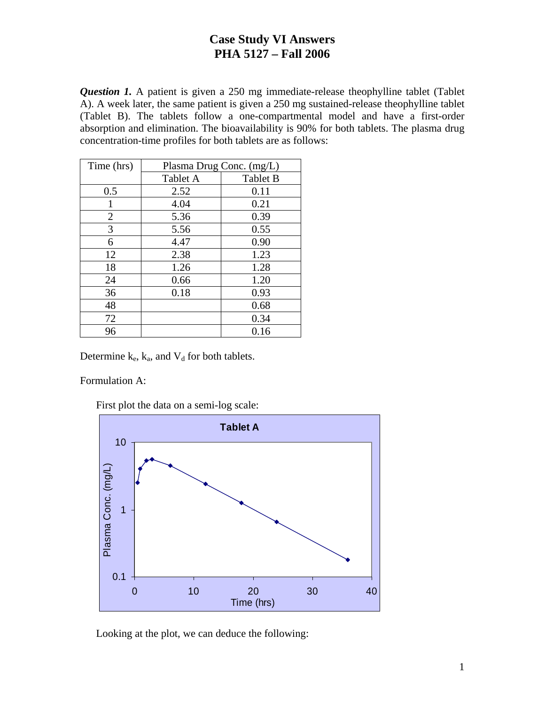*Question 1.* A patient is given a 250 mg immediate-release theophylline tablet (Tablet A). A week later, the same patient is given a 250 mg sustained-release theophylline tablet (Tablet B). The tablets follow a one-compartmental model and have a first-order absorption and elimination. The bioavailability is 90% for both tablets. The plasma drug concentration-time profiles for both tablets are as follows:

| Time (hrs) | Plasma Drug Conc. (mg/L) |                 |  |
|------------|--------------------------|-----------------|--|
|            | Tablet A                 | <b>Tablet B</b> |  |
| 0.5        | 2.52                     | 0.11            |  |
| 1          | 4.04                     | 0.21            |  |
| 2          | 5.36                     | 0.39            |  |
| 3          | 5.56                     | 0.55            |  |
| 6          | 4.47                     | 0.90            |  |
| 12         | 2.38                     | 1.23            |  |
| 18         | 1.26                     | 1.28            |  |
| 24         | 0.66                     | 1.20            |  |
| 36         | 0.18                     | 0.93            |  |
| 48         |                          | 0.68            |  |
| 72         |                          | 0.34            |  |
| 96         |                          | 0.16            |  |

Determine  $k_e$ ,  $k_a$ , and  $V_d$  for both tablets.

Formulation A:

First plot the data on a semi-log scale:



Looking at the plot, we can deduce the following: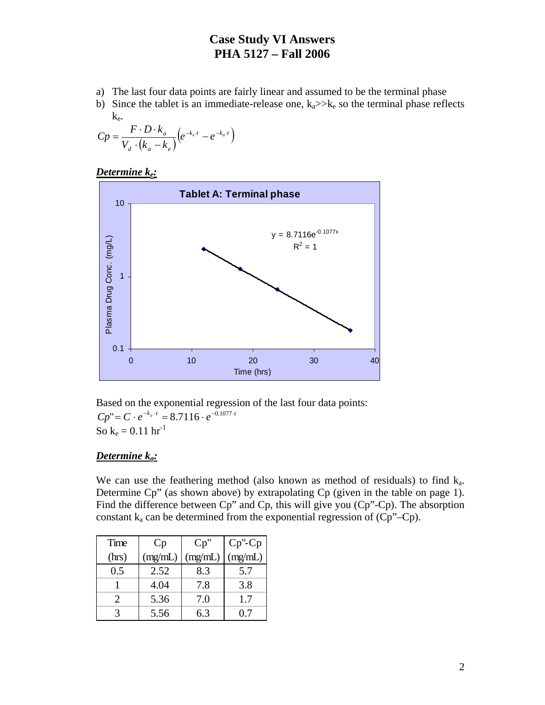- a) The last four data points are fairly linear and assumed to be the terminal phase
- b) Since the tablet is an immediate-release one,  $k_a$  >> $k_e$  so the terminal phase reflects ke.

$$
Cp = \frac{F \cdot D \cdot k_a}{V_d \cdot (k_a - k_e)} \left(e^{-k_e \cdot t} - e^{-k_a \cdot t}\right)
$$





Based on the exponential regression of the last four data points:  $Cp'' = C \cdot e^{-k_e \cdot t} = 8.7116 \cdot e^{-0.1077 \cdot t}$ So  $k_e = 0.11$  hr<sup>-1</sup>

### *Determine ka:*

We can use the feathering method (also known as method of residuals) to find  $k_a$ . Determine Cp" (as shown above) by extrapolating Cp (given in the table on page 1). Find the difference between Cp" and Cp, this will give you (Cp"-Cp). The absorption constant  $k_a$  can be determined from the exponential regression of  $(Cp''-Cp)$ .

| Time                  | Cp      | Cp''    | $Cp$ "- $Cp$ |
|-----------------------|---------|---------|--------------|
| (hrs)                 | (mg/mL) | (mg/mL) | (mg/mL)      |
| 0.5                   | 2.52    | 8.3     | 5.7          |
|                       | 4.04    | 7.8     | 3.8          |
| $\mathcal{D}_{\cdot}$ | 5.36    | 7.0     | 1.7          |
|                       | 5.56    | 6.3     | (17          |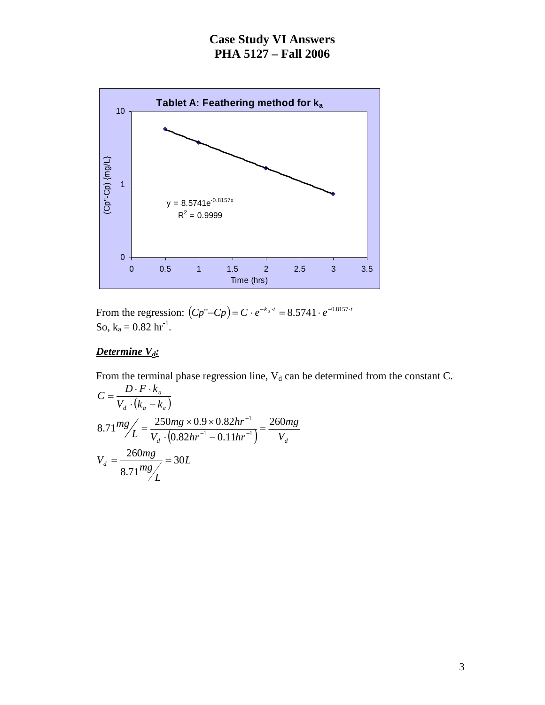

From the regression:  $(Cp''-Cp) = C \cdot e^{-k_a \cdot t} = 8.5741 \cdot e^{-0.8157 \cdot t}$ So,  $k_a = 0.82$  hr<sup>-1</sup>.

### *Determine*  $V_d$ :

From the terminal phase regression line,  $V_d$  can be determined from the constant C.  $V_d \cdot (k_a - k_e)$  $C = \frac{D \cdot F \cdot k}{\sigma}$ *a*  $\cdot (k_a =\frac{D\cdot F\cdot}{\sqrt{2\pi}\sqrt{2}}$ 

$$
V_d \cdot (\kappa_a - \kappa_e)
$$
  
\n
$$
8.71 \frac{mg}{L} = \frac{250mg \times 0.9 \times 0.82hr^{-1}}{V_d \cdot (0.82hr^{-1} - 0.11hr^{-1})} = \frac{260mg}{V_d}
$$
  
\n
$$
V_d = \frac{260mg}{8.71 \frac{mg}{L}} = 30L
$$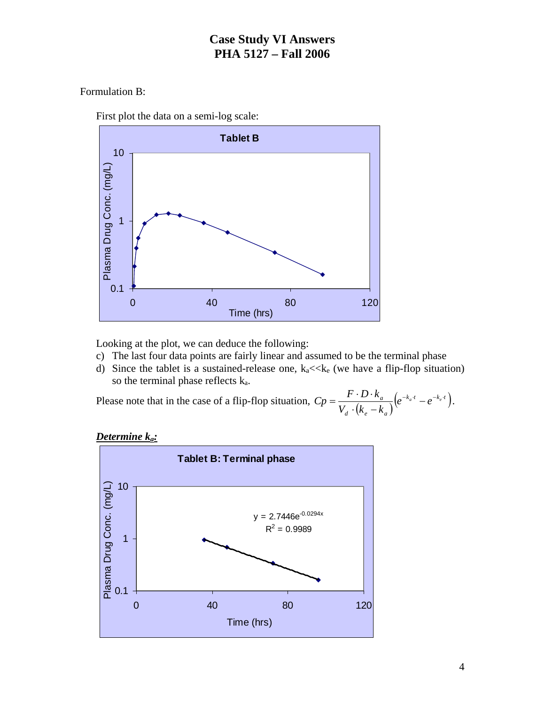### Formulation B:





Looking at the plot, we can deduce the following:

- c) The last four data points are fairly linear and assumed to be the terminal phase
- d) Since the tablet is a sustained-release one,  $k_a \ll k_e$  (we have a flip-flop situation) so the terminal phase reflects  $k_a$ .

Please note that in the case of a flip-flop situation,  $Cp = \frac{P \cdot D \cdot k_a}{V_d \cdot (k_e - k_a)} \Big(e^{-k_a t} - e^{-k_e t}\Big)$  $\frac{a}{a}$   $\left(e^{-k_a \cdot t} - e^{-k_e}\right)$  $Cp = \frac{F \cdot D \cdot k_a}{V_d \cdot (k_e - k_a)} \Big(e^{-k_a t} - e^{-k_e t}\Big).$ 



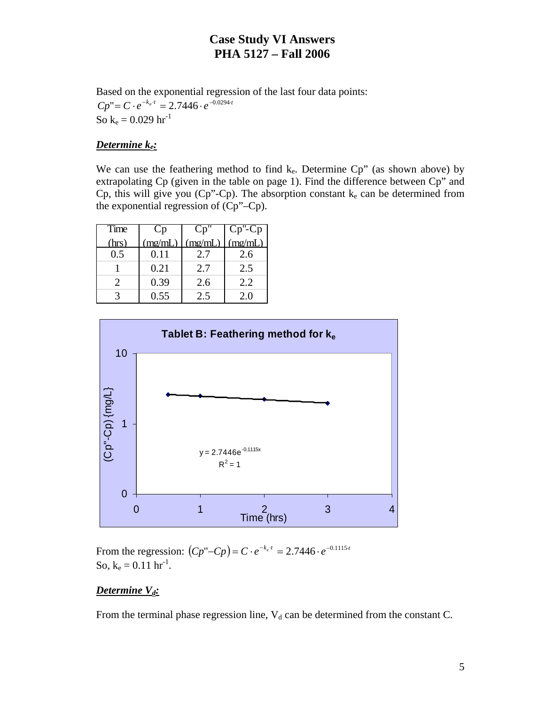Based on the exponential regression of the last four data points:  $Cp'' = C \cdot e^{-k_a \cdot t} = 2.7446 \cdot e^{-0.0294 \cdot t}$ So  $k_e = 0.029$  hr<sup>-1</sup>

#### *Determine ke:*

We can use the feathering method to find  $k_e$ . Determine Cp" (as shown above) by extrapolating Cp (given in the table on page 1). Find the difference between Cp" and Cp, this will give you (Cp"-Cp). The absorption constant  $k_e$  can be determined from the exponential regression of (Cp"–Cp).

| Time  |         |        |         |
|-------|---------|--------|---------|
| (hrs) | (mg/mL) | (mg/mL | (mg/mL) |
| 0.5   | 0.11    | 2.7    | 2.6     |
|       | 0.21    | 2.7    | 2.5     |
|       | 0.39    | 2.6    | 2.2     |
|       | 0.55    | 2.5    | 2.0     |



From the regression:  $(Cp''-Cp) = C \cdot e^{-k_e \cdot t} = 2.7446 \cdot e^{-0.1115 \cdot t}$ So,  $k_e = 0.11$   $hr^{-1}$ .

#### **Determine V<sub>d</sub>:**

From the terminal phase regression line,  $V_d$  can be determined from the constant C.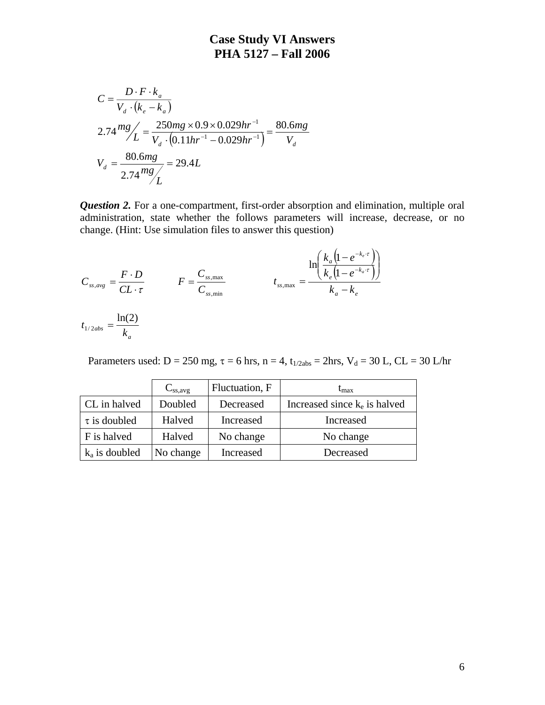$$
C = \frac{D \cdot F \cdot k_a}{V_d \cdot (k_e - k_a)}
$$
  
2.74  $mg / L = \frac{250mg \times 0.9 \times 0.029hr^{-1}}{V_d \cdot (0.11hr^{-1} - 0.029hr^{-1})} = \frac{80.6mg}{V_d}$   

$$
V_d = \frac{80.6mg}{2.74 \frac{mg}{L}} = 29.4L
$$

*Question 2.* For a one-compartment, first-order absorption and elimination, multiple oral administration, state whether the follows parameters will increase, decrease, or no change. (Hint: Use simulation files to answer this question)

$$
C_{ss,avg} = \frac{F \cdot D}{CL \cdot \tau} \qquad F = \frac{C_{ss,max}}{C_{ss,min}} \qquad t_{ss,max} = \frac{\ln\left(\frac{k_a \left(1 - e^{-k_e \cdot \tau}\right)}{k_e \left(1 - e^{-k_a \cdot \tau}\right)}\right)}{k_a - k_e}
$$

$$
t_{1/2abs} = \frac{\ln(2)}{k_a}
$$

Parameters used:  $D = 250$  mg,  $\tau = 6$  hrs,  $n = 4$ ,  $t_{1/2abs} = 2hrs$ ,  $V_d = 30$  L,  $CL = 30$  L/hr

|                   | $C_{ss,avg}$ | Fluctuation, F | $t_{\rm max}$                   |
|-------------------|--------------|----------------|---------------------------------|
| CL in halved      | Doubled      | Decreased      | Increased since $k_e$ is halved |
| $\tau$ is doubled | Halved       | Increased      | Increased                       |
| F is halved       | Halved       | No change      | No change                       |
| $k_a$ is doubled  | No change    | Increased      | Decreased                       |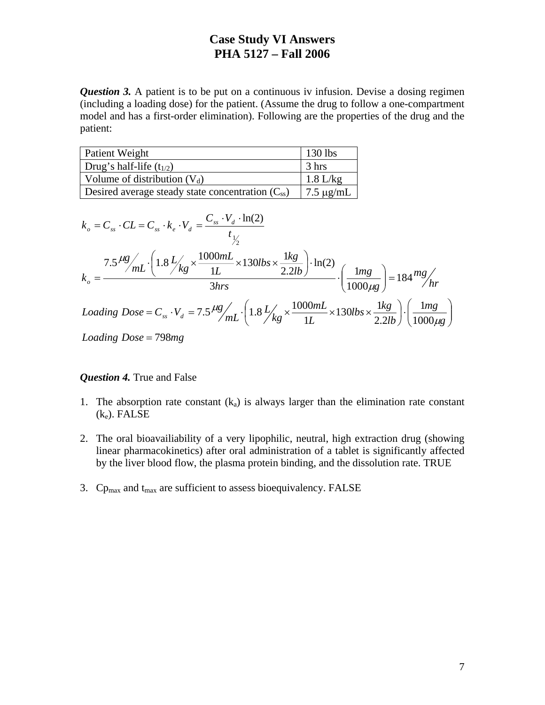*Question 3.* A patient is to be put on a continuous iv infusion. Devise a dosing regimen (including a loading dose) for the patient. (Assume the drug to follow a one-compartment model and has a first-order elimination). Following are the properties of the drug and the patient:

| Patient Weight                                        | $\vert$ 130 lbs         |
|-------------------------------------------------------|-------------------------|
| Drug's half-life $(t_{1/2})$                          | $\frac{3}{5}$ hrs       |
| Volume of distribution $(V_d)$                        | $1.8$ L/kg              |
| Desired average steady state concentration $(C_{ss})$ | $\sqrt{7.5 \ \mu g/mL}$ |

$$
k_o = C_{ss} \cdot CL = C_{ss} \cdot k_e \cdot V_d = \frac{C_{ss} \cdot V_d \cdot \ln(2)}{t_{\frac{1}{2}}}
$$
  
\n
$$
k_o = \frac{7.5 \frac{\mu g}{mL} \cdot \left(1.8 \frac{L}{kg} \times \frac{1000mL}{1L} \times 130 \text{ lbs} \times \frac{1kg}{2.2 lb}\right) \cdot \ln(2)}{3 \text{ hrs}} \cdot \left(\frac{1mg}{1000 \mu g}\right) = 184 \frac{mg}{hr}
$$
  
\n
$$
Loading \, Dose = C_{ss} \cdot V_d = 7.5 \frac{\mu g}{mL} \cdot \left(1.8 \frac{L}{kg} \times \frac{1000mL}{1L} \times 130 \text{ lbs} \times \frac{1kg}{2.2 lb}\right) \cdot \left(\frac{1mg}{1000 \mu g}\right)
$$
  
\n
$$
Loading \, Dose = 798mg
$$

#### *Question 4.* True and False

- 1. The absorption rate constant  $(k_a)$  is always larger than the elimination rate constant  $(k_e)$ . FALSE
- 2. The oral bioavailiability of a very lipophilic, neutral, high extraction drug (showing linear pharmacokinetics) after oral administration of a tablet is significantly affected by the liver blood flow, the plasma protein binding, and the dissolution rate. TRUE
- 3.  $Cp_{max}$  and  $t_{max}$  are sufficient to assess bioequivalency. FALSE